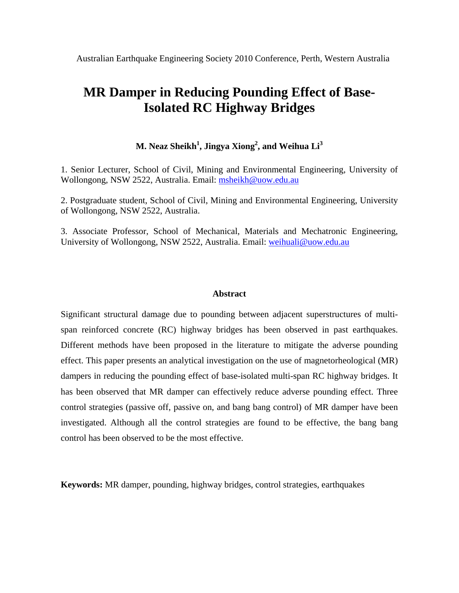# **MR Damper in Reducing Pounding Effect of Base-Isolated RC Highway Bridges**

# $\mathbf{M}.$  Neaz Sheikh $^{1},$  Jingya Xiong $^{2},$  and Weihua Li $^{3}$

1. Senior Lecturer, School of Civil, Mining and Environmental Engineering, University of Wollongong, NSW 2522, Australia. Email: msheikh@uow.edu.au

2. Postgraduate student, School of Civil, Mining and Environmental Engineering, University of Wollongong, NSW 2522, Australia.

3. Associate Professor, School of Mechanical, Materials and Mechatronic Engineering, University of Wollongong, NSW 2522, Australia. Email: weihuali@uow.edu.au

#### **Abstract**

Significant structural damage due to pounding between adjacent superstructures of multispan reinforced concrete (RC) highway bridges has been observed in past earthquakes. Different methods have been proposed in the literature to mitigate the adverse pounding effect. This paper presents an analytical investigation on the use of magnetorheological (MR) dampers in reducing the pounding effect of base-isolated multi-span RC highway bridges. It has been observed that MR damper can effectively reduce adverse pounding effect. Three control strategies (passive off, passive on, and bang bang control) of MR damper have been investigated. Although all the control strategies are found to be effective, the bang bang control has been observed to be the most effective.

**Keywords:** MR damper, pounding, highway bridges, control strategies, earthquakes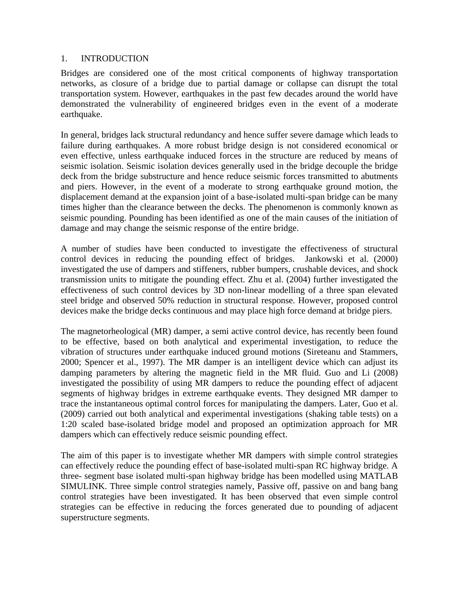## 1. INTRODUCTION

Bridges are considered one of the most critical components of highway transportation networks, as closure of a bridge due to partial damage or collapse can disrupt the total transportation system. However, earthquakes in the past few decades around the world have demonstrated the vulnerability of engineered bridges even in the event of a moderate earthquake.

In general, bridges lack structural redundancy and hence suffer severe damage which leads to failure during earthquakes. A more robust bridge design is not considered economical or even effective, unless earthquake induced forces in the structure are reduced by means of seismic isolation. Seismic isolation devices generally used in the bridge decouple the bridge deck from the bridge substructure and hence reduce seismic forces transmitted to abutments and piers. However, in the event of a moderate to strong earthquake ground motion, the displacement demand at the expansion joint of a base-isolated multi-span bridge can be many times higher than the clearance between the decks. The phenomenon is commonly known as seismic pounding. Pounding has been identified as one of the main causes of the initiation of damage and may change the seismic response of the entire bridge.

A number of studies have been conducted to investigate the effectiveness of structural control devices in reducing the pounding effect of bridges. Jankowski et al. (2000) investigated the use of dampers and stiffeners, rubber bumpers, crushable devices, and shock transmission units to mitigate the pounding effect. Zhu et al. (2004) further investigated the effectiveness of such control devices by 3D non-linear modelling of a three span elevated steel bridge and observed 50% reduction in structural response. However, proposed control devices make the bridge decks continuous and may place high force demand at bridge piers.

The magnetorheological (MR) damper, a semi active control device, has recently been found to be effective, based on both analytical and experimental investigation, to reduce the vibration of structures under earthquake induced ground motions (Sireteanu and Stammers, 2000; Spencer et al., 1997). The MR damper is an intelligent device which can adjust its damping parameters by altering the magnetic field in the MR fluid. Guo and Li (2008) investigated the possibility of using MR dampers to reduce the pounding effect of adjacent segments of highway bridges in extreme earthquake events. They designed MR damper to trace the instantaneous optimal control forces for manipulating the dampers. Later, Guo et al. (2009) carried out both analytical and experimental investigations (shaking table tests) on a 1:20 scaled base-isolated bridge model and proposed an optimization approach for MR dampers which can effectively reduce seismic pounding effect.

The aim of this paper is to investigate whether MR dampers with simple control strategies can effectively reduce the pounding effect of base-isolated multi-span RC highway bridge. A three- segment base isolated multi-span highway bridge has been modelled using MATLAB SIMULINK. Three simple control strategies namely, Passive off, passive on and bang bang control strategies have been investigated. It has been observed that even simple control strategies can be effective in reducing the forces generated due to pounding of adjacent superstructure segments.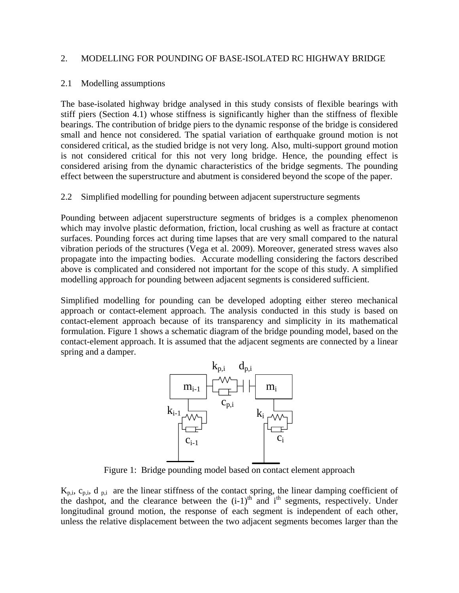#### 2. MODELLING FOR POUNDING OF BASE-ISOLATED RC HIGHWAY BRIDGE

#### 2.1 Modelling assumptions

The base-isolated highway bridge analysed in this study consists of flexible bearings with stiff piers (Section 4.1) whose stiffness is significantly higher than the stiffness of flexible bearings. The contribution of bridge piers to the dynamic response of the bridge is considered small and hence not considered. The spatial variation of earthquake ground motion is not considered critical, as the studied bridge is not very long. Also, multi-support ground motion is not considered critical for this not very long bridge. Hence, the pounding effect is considered arising from the dynamic characteristics of the bridge segments. The pounding effect between the superstructure and abutment is considered beyond the scope of the paper.

#### 2.2 Simplified modelling for pounding between adjacent superstructure segments

Pounding between adjacent superstructure segments of bridges is a complex phenomenon which may involve plastic deformation, friction, local crushing as well as fracture at contact surfaces. Pounding forces act during time lapses that are very small compared to the natural vibration periods of the structures (Vega et al. 2009). Moreover, generated stress waves also propagate into the impacting bodies. Accurate modelling considering the factors described above is complicated and considered not important for the scope of this study. A simplified modelling approach for pounding between adjacent segments is considered sufficient.

Simplified modelling for pounding can be developed adopting either stereo mechanical approach or contact-element approach. The analysis conducted in this study is based on contact-element approach because of its transparency and simplicity in its mathematical formulation. Figure 1 shows a schematic diagram of the bridge pounding model, based on the contact-element approach. It is assumed that the adjacent segments are connected by a linear spring and a damper.



Figure 1: Bridge pounding model based on contact element approach

 $K_{p,i}$ ,  $c_{p,i}$ ,  $d_{p,i}$  are the linear stiffness of the contact spring, the linear damping coefficient of the dashpot, and the clearance between the  $(i-1)$ <sup>th</sup> and i<sup>th</sup> segments, respectively. Under longitudinal ground motion, the response of each segment is independent of each other, unless the relative displacement between the two adjacent segments becomes larger than the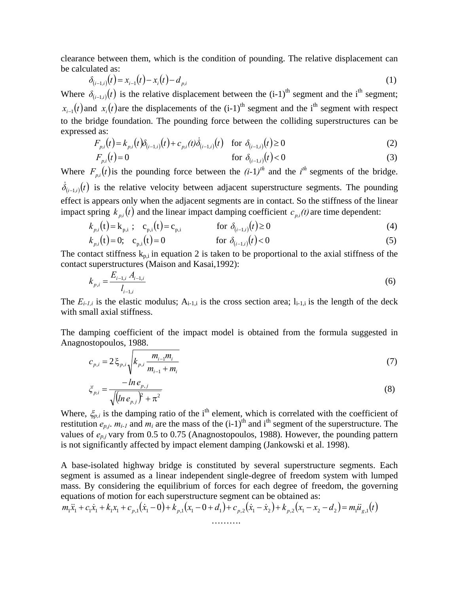clearance between them, which is the condition of pounding. The relative displacement can be calculated as:

$$
\delta_{(i-1,i)}(t) = x_{i-1}(t) - x_i(t) - d_{p,i} \tag{1}
$$

Where  $\delta_{(i-1,i)}(t)$  is the relative displacement between the  $(i-1)$ <sup>th</sup> segment and the i<sup>th</sup> segment;  $x_{i-1}(t)$  and  $x_i(t)$  are the displacements of the  $(i-1)$ <sup>th</sup> segment and the i<sup>th</sup> segment with respect to the bridge foundation. The pounding force between the colliding superstructures can be expressed as:

$$
F_{p,i}(t) = k_{p,i}(t)\delta_{(i-1,i)}(t) + c_{p,i}(t)\dot{\delta}_{(i-1,i)}(t) \quad \text{for } \delta_{(i-1,i)}(t) \ge 0
$$
 (2)

$$
F_{p,i}(t) = 0 \qquad \qquad \text{for } \delta_{(i-1,i)}(t) < 0 \tag{3}
$$

Where  $F_{p,i}(t)$  is the pounding force between the  $(i-1)^{th}$  and the  $i^{th}$  segments of the bridge.  $\dot{\delta}_{(i-1,i)}(t)$  is the relative velocity between adjacent superstructure segments. The pounding effect is appears only when the adjacent segments are in contact. So the stiffness of the linear impact spring  $k_{ni}(t)$  and the linear impact damping coefficient  $c_{ni}(t)$  are time dependent:

$$
k_{p,i}(t) = k_{p,i}; \quad c_{p,i}(t) = c_{p,i}
$$
 for  $\delta_{(i-1,i)}(t) \ge 0$  (4)

$$
k_{p,i}(t) = 0; \quad c_{p,i}(t) = 0 \qquad \text{for } \delta_{(i-1,i)}(t) < 0 \tag{5}
$$

The contact stiffness  $k_{p,i}$  in equation 2 is taken to be proportional to the axial stiffness of the contact superstructures (Maison and Kasai,1992):

$$
k_{p,i} = \frac{E_{i-1,i} A_{i-1,i}}{l_{i-1,i}}
$$
\n<sup>(6)</sup>

The  $E_{i-l,i}$  is the elastic modulus;  $A_{i-1,i}$  is the cross section area;  $l_{i-1,i}$  is the length of the deck with small axial stiffness.

The damping coefficient of the impact model is obtained from the formula suggested in Anagnostopoulos, 1988.

$$
c_{p,i} = 2\xi_{p,i} \sqrt{k_{p,i} \frac{m_{i-1}m_i}{m_{i-1} + m_i}}
$$
 (7)

$$
\xi_{p,i} = \frac{-\ln e_{p,j}}{\sqrt{(\ln e_{p,j})^2 + \pi^2}}\tag{8}
$$

Where,  $\xi_{p,i}$  is the damping ratio of the i<sup>th</sup> element, which is correlated with the coefficient of restitution  $e_{p,j}$ .  $m_{i-1}$  and  $m_i$  are the mass of the  $(i-1)$ <sup>th</sup> and i<sup>th</sup> segment of the superstructure. The values of *ep,j* vary from 0.5 to 0.75 (Anagnostopoulos, 1988). However, the pounding pattern is not significantly affected by impact element damping (Jankowski et al. 1998).

A base-isolated highway bridge is constituted by several superstructure segments. Each segment is assumed as a linear independent single-degree of freedom system with lumped mass. By considering the equilibrium of forces for each degree of freedom, the governing equations of motion for each superstructure segment can be obtained as:

$$
m_1\ddot{x}_1 + c_1\dot{x}_1 + k_1x_1 + c_{p,1}(\dot{x}_1 - 0) + k_{p,1}(\dot{x}_1 - 0 + d_1) + c_{p,2}(\dot{x}_1 - \dot{x}_2) + k_{p,2}(\dot{x}_1 - \dot{x}_2 - d_2) = m_1\ddot{u}_{g,1}(t)
$$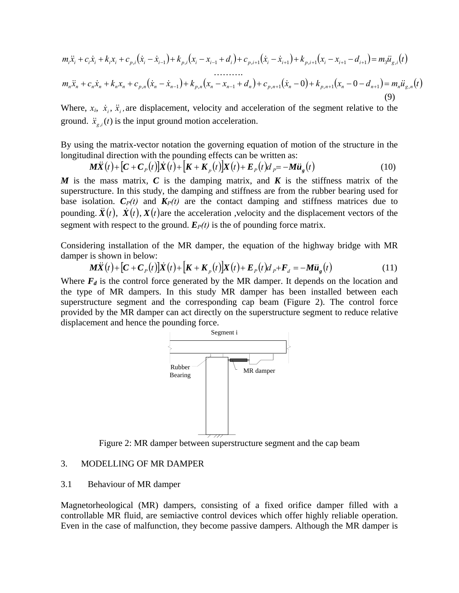$$
m_i\ddot{x}_i + c_i\dot{x}_i + k_i x_i + c_{p,i}(\dot{x}_i - \dot{x}_{i-1}) + k_{p,i}(x_i - x_{i-1} + d_i) + c_{p,i+1}(\dot{x}_i - \dot{x}_{i+1}) + k_{p,i+1}(x_i - x_{i+1} - d_{i+1}) = m_3\ddot{u}_{g,i}(t)
$$

$$
m_n \ddot{x}_n + c_n \dot{x}_n + k_n x_n + c_{p,n} (\dot{x}_n - \dot{x}_{n-1}) + k_{p,n} (x_n - x_{n-1} + d_n) + c_{p,n+1} (\dot{x}_n - 0) + k_{p,n+1} (x_n - 0 - d_{n+1}) = m_n \ddot{u}_{g,n}(t)
$$
\n(9)

Where,  $x_i$ ,  $\dot{x}_i$ ,  $\ddot{x}_i$ , are displacement, velocity and acceleration of the segment relative to the ground.  $\ddot{x}_{e,i}(t)$  is the input ground motion acceleration.

By using the matrix-vector notation the governing equation of motion of the structure in the longitudinal direction with the pounding effects can be written as:

 $M\ddot{X}(t) + [C + C_{P}(t)]\dot{X}(t) + [K + K_{P}(t)]X(t) + E_{P}(t)d_{P} = -M\ddot{u}_{R}(t)$  (10)

*M* is the mass matrix, *C* is the damping matrix, and  $K$  is the stiffness matrix of the superstructure. In this study, the damping and stiffness are from the rubber bearing used for base isolation.  $C_P(t)$  and  $K_P(t)$  are the contact damping and stiffness matrices due to pounding.  $\ddot{x}(t)$ ,  $\dot{x}(t)$ ,  $X(t)$  are the acceleration ,velocity and the displacement vectors of the segment with respect to the ground.  $E<sub>P</sub>(t)$  is the of pounding force matrix.

Considering installation of the MR damper, the equation of the highway bridge with MR damper is shown in below:

$$
\boldsymbol{M}\ddot{\boldsymbol{X}}(t) + [\boldsymbol{C} + \boldsymbol{C}_P(t)]\dot{\boldsymbol{X}}(t) + [\boldsymbol{K} + \boldsymbol{K}_P(t)]\boldsymbol{X}(t) + \boldsymbol{E}_P(t)\boldsymbol{d}_P + \boldsymbol{F}_d = -\boldsymbol{M}\ddot{\boldsymbol{u}}_g(t)
$$
\n(11)

Where  $F_d$  is the control force generated by the MR damper. It depends on the location and the type of MR dampers. In this study MR damper has been installed between each superstructure segment and the corresponding cap beam (Figure 2). The control force provided by the MR damper can act directly on the superstructure segment to reduce relative displacement and hence the pounding force.



Figure 2: MR damper between superstructure segment and the cap beam

#### 3. MODELLING OF MR DAMPER

#### 3.1 Behaviour of MR damper

Magnetorheological (MR) dampers, consisting of a fixed orifice damper filled with a controllable MR fluid, are semiactive control devices which offer highly reliable operation. Even in the case of malfunction, they become passive dampers. Although the MR damper is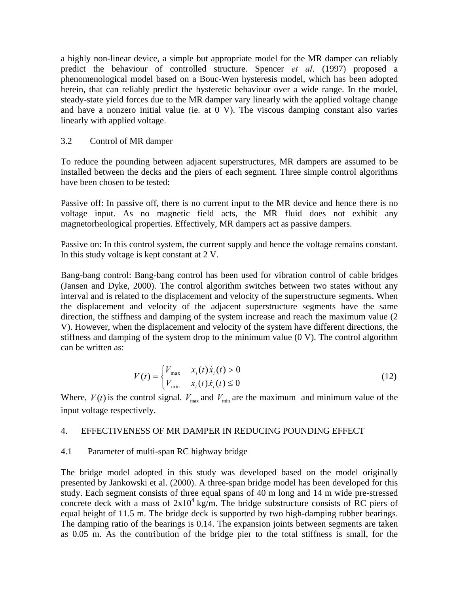a highly non-linear device, a simple but appropriate model for the MR damper can reliably predict the behaviour of controlled structure. Spencer *et al*. (1997) proposed a phenomenological model based on a Bouc-Wen hysteresis model, which has been adopted herein, that can reliably predict the hysteretic behaviour over a wide range. In the model, steady-state yield forces due to the MR damper vary linearly with the applied voltage change and have a nonzero initial value (ie. at 0 V). The viscous damping constant also varies linearly with applied voltage.

## 3.2 Control of MR damper

To reduce the pounding between adjacent superstructures, MR dampers are assumed to be installed between the decks and the piers of each segment. Three simple control algorithms have been chosen to be tested:

Passive off: In passive off, there is no current input to the MR device and hence there is no voltage input. As no magnetic field acts, the MR fluid does not exhibit any magnetorheological properties. Effectively, MR dampers act as passive dampers.

Passive on: In this control system, the current supply and hence the voltage remains constant. In this study voltage is kept constant at 2 V.

Bang-bang control: Bang-bang control has been used for vibration control of cable bridges (Jansen and Dyke, 2000). The control algorithm switches between two states without any interval and is related to the displacement and velocity of the superstructure segments. When the displacement and velocity of the adjacent superstructure segments have the same direction, the stiffness and damping of the system increase and reach the maximum value (2 V). However, when the displacement and velocity of the system have different directions, the stiffness and damping of the system drop to the minimum value (0 V). The control algorithm can be written as:

$$
V(t) = \begin{cases} V_{\text{max}} & x_i(t)\dot{x}_i(t) > 0 \\ V_{\text{min}} & x_i(t)\dot{x}_i(t) \le 0 \end{cases}
$$
 (12)

Where,  $V(t)$  is the control signal.  $V_{\text{max}}$  and  $V_{\text{min}}$  are the maximum and minimum value of the input voltage respectively.

#### 4. EFFECTIVENESS OF MR DAMPER IN REDUCING POUNDING EFFECT

## 4.1 Parameter of multi-span RC highway bridge

The bridge model adopted in this study was developed based on the model originally presented by Jankowski et al. (2000). A three-span bridge model has been developed for this study. Each segment consists of three equal spans of 40 m long and 14 m wide pre-stressed concrete deck with a mass of  $2x10^4$  kg/m. The bridge substructure consists of RC piers of equal height of 11.5 m. The bridge deck is supported by two high-damping rubber bearings. The damping ratio of the bearings is 0.14. The expansion joints between segments are taken as 0.05 m. As the contribution of the bridge pier to the total stiffness is small, for the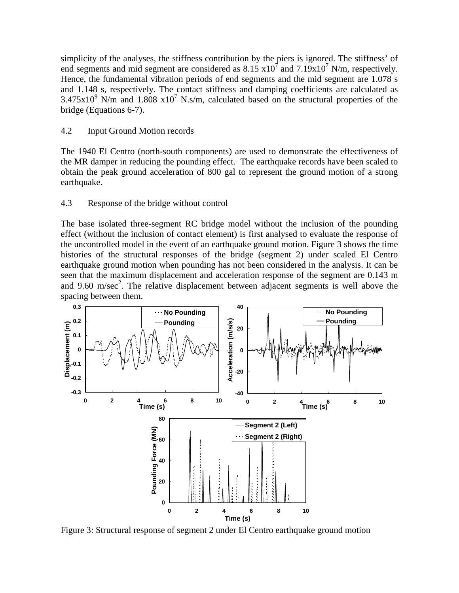simplicity of the analyses, the stiffness contribution by the piers is ignored. The stiffness' of end segments and mid segment are considered as  $8.15 \times 10^7$  and  $7.19 \times 10^7$  N/m, respectively. Hence, the fundamental vibration periods of end segments and the mid segment are 1.078 s and 1.148 s, respectively. The contact stiffness and damping coefficients are calculated as  $3.475 \times 10^{9}$  N/m and  $1.808 \times 10^{7}$  N.s/m, calculated based on the structural properties of the bridge (Equations 6-7).

#### 4.2 Input Ground Motion records

The 1940 El Centro (north-south components) are used to demonstrate the effectiveness of the MR damper in reducing the pounding effect. The earthquake records have been scaled to obtain the peak ground acceleration of 800 gal to represent the ground motion of a strong earthquake.

## 4.3 Response of the bridge without control

The base isolated three-segment RC bridge model without the inclusion of the pounding effect (without the inclusion of contact element) is first analysed to evaluate the response of the uncontrolled model in the event of an earthquake ground motion. Figure 3 shows the time histories of the structural responses of the bridge (segment 2) under scaled El Centro earthquake ground motion when pounding has not been considered in the analysis. It can be seen that the maximum displacement and acceleration response of the segment are 0.143 m and  $9.60$  m/sec<sup>2</sup>. The relative displacement between adjacent segments is well above the spacing between them.



Figure 3: Structural response of segment 2 under El Centro earthquake ground motion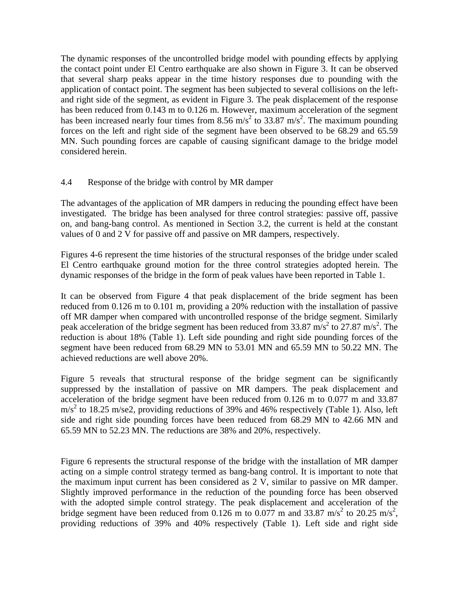The dynamic responses of the uncontrolled bridge model with pounding effects by applying the contact point under El Centro earthquake are also shown in Figure 3. It can be observed that several sharp peaks appear in the time history responses due to pounding with the application of contact point. The segment has been subjected to several collisions on the leftand right side of the segment, as evident in Figure 3. The peak displacement of the response has been reduced from 0.143 m to 0.126 m. However, maximum acceleration of the segment has been increased nearly four times from 8.56 m/s<sup>2</sup> to 33.87 m/s<sup>2</sup>. The maximum pounding forces on the left and right side of the segment have been observed to be 68.29 and 65.59 MN. Such pounding forces are capable of causing significant damage to the bridge model considered herein.

## 4.4 Response of the bridge with control by MR damper

The advantages of the application of MR dampers in reducing the pounding effect have been investigated. The bridge has been analysed for three control strategies: passive off, passive on, and bang-bang control. As mentioned in Section 3.2, the current is held at the constant values of 0 and 2 V for passive off and passive on MR dampers, respectively.

Figures 4-6 represent the time histories of the structural responses of the bridge under scaled El Centro earthquake ground motion for the three control strategies adopted herein. The dynamic responses of the bridge in the form of peak values have been reported in Table 1.

It can be observed from Figure 4 that peak displacement of the bride segment has been reduced from 0.126 m to 0.101 m, providing a 20% reduction with the installation of passive off MR damper when compared with uncontrolled response of the bridge segment. Similarly peak acceleration of the bridge segment has been reduced from 33.87 m/s<sup>2</sup> to 27.87 m/s<sup>2</sup>. The reduction is about 18% (Table 1). Left side pounding and right side pounding forces of the segment have been reduced from 68.29 MN to 53.01 MN and 65.59 MN to 50.22 MN. The achieved reductions are well above 20%.

Figure 5 reveals that structural response of the bridge segment can be significantly suppressed by the installation of passive on MR dampers. The peak displacement and acceleration of the bridge segment have been reduced from 0.126 m to 0.077 m and 33.87  $m/s<sup>2</sup>$  to 18.25 m/se2, providing reductions of 39% and 46% respectively (Table 1). Also, left side and right side pounding forces have been reduced from 68.29 MN to 42.66 MN and 65.59 MN to 52.23 MN. The reductions are 38% and 20%, respectively.

Figure 6 represents the structural response of the bridge with the installation of MR damper acting on a simple control strategy termed as bang-bang control. It is important to note that the maximum input current has been considered as 2 V, similar to passive on MR damper. Slightly improved performance in the reduction of the pounding force has been observed with the adopted simple control strategy. The peak displacement and acceleration of the bridge segment have been reduced from 0.126 m to 0.077 m and 33.87 m/s<sup>2</sup> to 20.25 m/s<sup>2</sup>, providing reductions of 39% and 40% respectively (Table 1). Left side and right side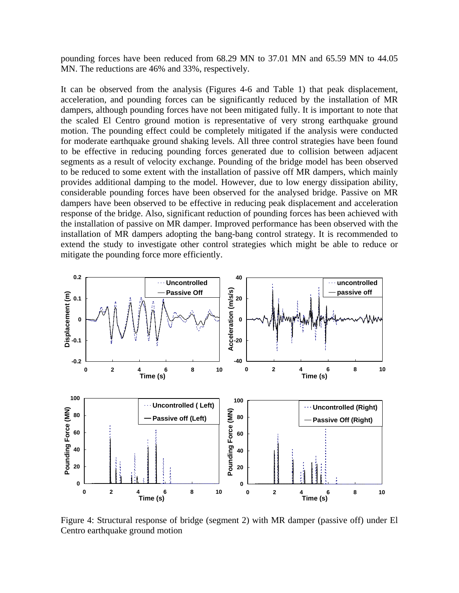pounding forces have been reduced from 68.29 MN to 37.01 MN and 65.59 MN to 44.05 MN. The reductions are 46% and 33%, respectively.

It can be observed from the analysis (Figures 4-6 and Table 1) that peak displacement, acceleration, and pounding forces can be significantly reduced by the installation of MR dampers, although pounding forces have not been mitigated fully. It is important to note that the scaled El Centro ground motion is representative of very strong earthquake ground motion. The pounding effect could be completely mitigated if the analysis were conducted for moderate earthquake ground shaking levels. All three control strategies have been found to be effective in reducing pounding forces generated due to collision between adjacent segments as a result of velocity exchange. Pounding of the bridge model has been observed to be reduced to some extent with the installation of passive off MR dampers, which mainly provides additional damping to the model. However, due to low energy dissipation ability, considerable pounding forces have been observed for the analysed bridge. Passive on MR dampers have been observed to be effective in reducing peak displacement and acceleration response of the bridge. Also, significant reduction of pounding forces has been achieved with the installation of passive on MR damper. Improved performance has been observed with the installation of MR dampers adopting the bang-bang control strategy. It is recommended to extend the study to investigate other control strategies which might be able to reduce or mitigate the pounding force more efficiently.



Figure 4: Structural response of bridge (segment 2) with MR damper (passive off) under El Centro earthquake ground motion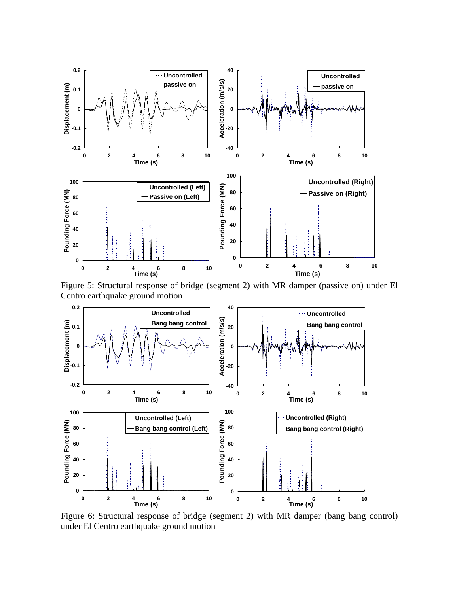

Figure 5: Structural response of bridge (segment 2) with MR damper (passive on) under El Centro earthquake ground motion



Figure 6: Structural response of bridge (segment 2) with MR damper (bang bang control) under El Centro earthquake ground motion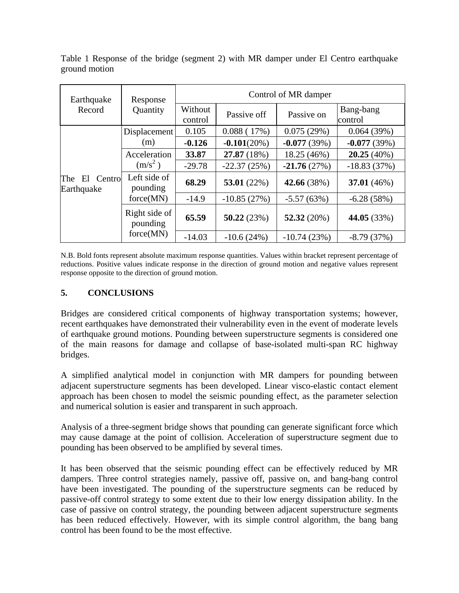| Earthquake<br>Record               | Response<br>Quantity                   | Control of MR damper |               |               |                      |
|------------------------------------|----------------------------------------|----------------------|---------------|---------------|----------------------|
|                                    |                                        | Without<br>control   | Passive off   | Passive on    | Bang-bang<br>control |
| E1<br>The<br>Centrol<br>Earthquake | Displacement<br>(m)                    | 0.105                | 0.088(17%)    | 0.075(29%)    | 0.064(39%)           |
|                                    |                                        | $-0.126$             | $-0.101(20%)$ | $-0.077(39%)$ | $-0.077(39%)$        |
|                                    | Acceleration<br>$(m/s^2)$              | 33.87                | 27.87 (18%)   | 18.25 (46%)   | 20.25(40%)           |
|                                    |                                        | $-29.78$             | $-22.37(25%)$ | $-21.76(27%)$ | $-18.83(37%)$        |
|                                    | Left side of<br>pounding<br>force(MN)  | 68.29                | 53.01 $(22%)$ | 42.66 (38%)   | 37.01 (46%)          |
|                                    |                                        | $-14.9$              | $-10.85(27%)$ | $-5.57(63%)$  | $-6.28(58%)$         |
|                                    | Right side of<br>pounding<br>force(MN) | 65.59                | 50.22(23%)    | $52.32(20\%)$ | 44.05 (33%)          |
|                                    |                                        | $-14.03$             | $-10.6(24%)$  | $-10.74(23%)$ | $-8.79(37%)$         |

Table 1 Response of the bridge (segment 2) with MR damper under El Centro earthquake ground motion

N.B. Bold fonts represent absolute maximum response quantities. Values within bracket represent percentage of reductions. Positive values indicate response in the direction of ground motion and negative values represent response opposite to the direction of ground motion.

# **5. CONCLUSIONS**

Bridges are considered critical components of highway transportation systems; however, recent earthquakes have demonstrated their vulnerability even in the event of moderate levels of earthquake ground motions. Pounding between superstructure segments is considered one of the main reasons for damage and collapse of base-isolated multi-span RC highway bridges.

A simplified analytical model in conjunction with MR dampers for pounding between adjacent superstructure segments has been developed. Linear visco-elastic contact element approach has been chosen to model the seismic pounding effect, as the parameter selection and numerical solution is easier and transparent in such approach.

Analysis of a three-segment bridge shows that pounding can generate significant force which may cause damage at the point of collision. Acceleration of superstructure segment due to pounding has been observed to be amplified by several times.

It has been observed that the seismic pounding effect can be effectively reduced by MR dampers. Three control strategies namely, passive off, passive on, and bang-bang control have been investigated. The pounding of the superstructure segments can be reduced by passive-off control strategy to some extent due to their low energy dissipation ability. In the case of passive on control strategy, the pounding between adjacent superstructure segments has been reduced effectively. However, with its simple control algorithm, the bang bang control has been found to be the most effective.